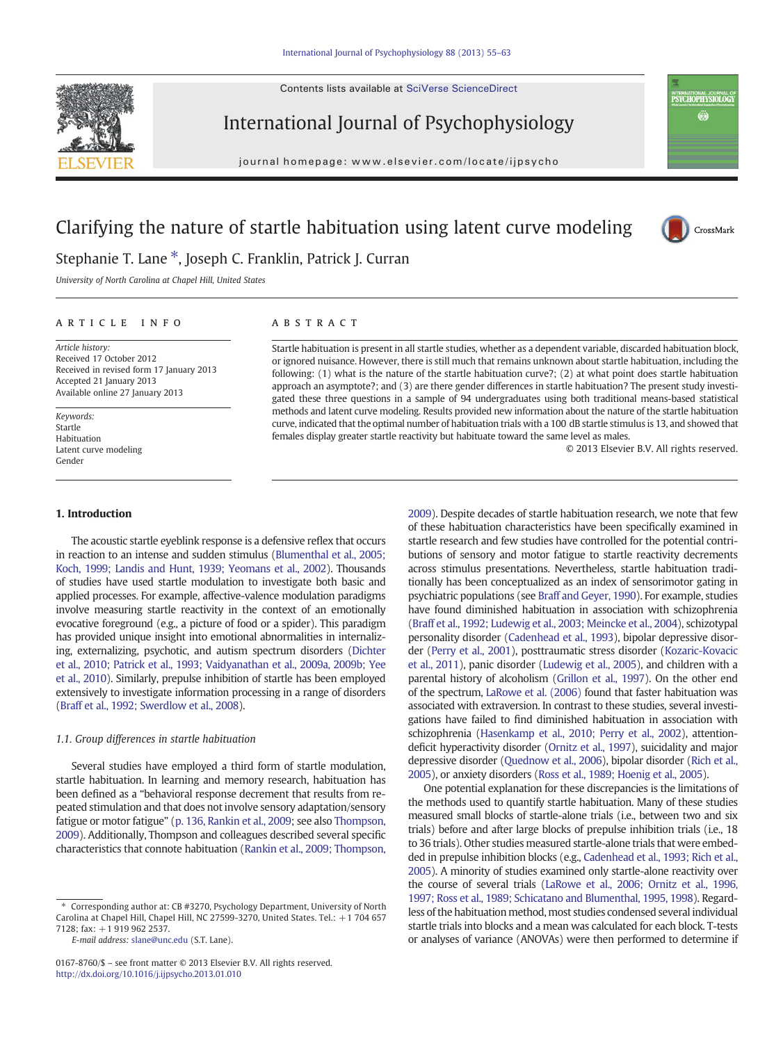Contents lists available at SciVerse ScienceDirect



International Journal of Psychophysiology

journal homepage: www.elsevier.com/locate/ijpsycho



# Clarifying the nature of startle habituation using latent curve modeling



Stephanie T. Lane \*, Joseph C. Franklin, Patrick J. Curran

University of North Carolina at Chapel Hill, United States

# article info abstract

Article history: Received 17 October 2012 Received in revised form 17 January 2013 Accepted 21 January 2013 Available online 27 January 2013

Keywords: Startle Habituation Latent curve modeling Gender

#### 1. Introduction

Startle habituation is present in all startle studies, whether as a dependent variable, discarded habituation block, or ignored nuisance. However, there is still much that remains unknown about startle habituation, including the following: (1) what is the nature of the startle habituation curve?; (2) at what point does startle habituation approach an asymptote?; and (3) are there gender differences in startle habituation? The present study investigated these three questions in a sample of 94 undergraduates using both traditional means-based statistical methods and latent curve modeling. Results provided new information about the nature of the startle habituation curve, indicated that the optimal number of habituation trials with a 100 dB startle stimulus is 13, and showed that females display greater startle reactivity but habituate toward the same level as males.

© 2013 Elsevier B.V. All rights reserved.

The acoustic startle eyeblink response is a defensive reflex that occurs in reaction to an intense and sudden stimulus ([Blumenthal et al., 2005;](#page--1-0) [Koch, 1999; Landis and Hunt, 1939; Yeomans et al., 2002](#page--1-0)). Thousands of studies have used startle modulation to investigate both basic and applied processes. For example, affective-valence modulation paradigms involve measuring startle reactivity in the context of an emotionally evocative foreground (e.g., a picture of food or a spider). This paradigm has provided unique insight into emotional abnormalities in internalizing, externalizing, psychotic, and autism spectrum disorders [\(Dichter](#page--1-0) [et al., 2010; Patrick et al., 1993; Vaidyanathan et al., 2009a, 2009b; Yee](#page--1-0) [et al., 2010\)](#page--1-0). Similarly, prepulse inhibition of startle has been employed extensively to investigate information processing in a range of disorders [\(Braff et al., 1992; Swerdlow et al., 2008\)](#page--1-0).

#### 1.1. Group differences in startle habituation

Several studies have employed a third form of startle modulation, startle habituation. In learning and memory research, habituation has been defined as a "behavioral response decrement that results from repeated stimulation and that does not involve sensory adaptation/sensory fatigue or motor fatigue" [\(p. 136, Rankin et al., 2009](#page--1-0); see also [Thompson,](#page--1-0) [2009](#page--1-0)). Additionally, Thompson and colleagues described several specific characteristics that connote habituation [\(Rankin et al., 2009; Thompson,](#page--1-0) [2009](#page--1-0)). Despite decades of startle habituation research, we note that few of these habituation characteristics have been specifically examined in startle research and few studies have controlled for the potential contributions of sensory and motor fatigue to startle reactivity decrements across stimulus presentations. Nevertheless, startle habituation traditionally has been conceptualized as an index of sensorimotor gating in psychiatric populations (see [Braff and Geyer, 1990\)](#page--1-0). For example, studies have found diminished habituation in association with schizophrenia [\(Braff et al., 1992; Ludewig et al., 2003; Meincke et al., 2004](#page--1-0)), schizotypal personality disorder [\(Cadenhead et al., 1993\)](#page--1-0), bipolar depressive disorder [\(Perry et al., 2001\)](#page--1-0), posttraumatic stress disorder ([Kozaric-Kovacic](#page--1-0) [et al., 2011](#page--1-0)), panic disorder [\(Ludewig et al., 2005](#page--1-0)), and children with a parental history of alcoholism ([Grillon et al., 1997](#page--1-0)). On the other end of the spectrum, [LaRowe et al. \(2006\)](#page--1-0) found that faster habituation was associated with extraversion. In contrast to these studies, several investigations have failed to find diminished habituation in association with schizophrenia ([Hasenkamp et al., 2010; Perry et al., 2002](#page--1-0)), attentiondeficit hyperactivity disorder [\(Ornitz et al., 1997](#page--1-0)), suicidality and major depressive disorder [\(Quednow et al., 2006\)](#page--1-0), bipolar disorder [\(Rich et al.,](#page--1-0) [2005\)](#page--1-0), or anxiety disorders ([Ross et al., 1989; Hoenig et al., 2005\)](#page--1-0).

One potential explanation for these discrepancies is the limitations of the methods used to quantify startle habituation. Many of these studies measured small blocks of startle-alone trials (i.e., between two and six trials) before and after large blocks of prepulse inhibition trials (i.e., 18 to 36 trials). Other studies measured startle-alone trials that were embedded in prepulse inhibition blocks (e.g., [Cadenhead et al., 1993; Rich et al.,](#page--1-0) [2005\)](#page--1-0). A minority of studies examined only startle-alone reactivity over the course of several trials [\(LaRowe et al., 2006; Ornitz et al., 1996,](#page--1-0) [1997; Ross et al., 1989; Schicatano and Blumenthal, 1995, 1998](#page--1-0)). Regardless of the habituation method, most studies condensed several individual startle trials into blocks and a mean was calculated for each block. T-tests or analyses of variance (ANOVAs) were then performed to determine if

<sup>⁎</sup> Corresponding author at: CB #3270, Psychology Department, University of North Carolina at Chapel Hill, Chapel Hill, NC 27599-3270, United States. Tel.: +1 704 657 7128; fax: +1 919 962 2537.

E-mail address: [slane@unc.edu](mailto:slane@unc.edu) (S.T. Lane).

<sup>0167-8760/\$</sup> – see front matter © 2013 Elsevier B.V. All rights reserved. <http://dx.doi.org/10.1016/j.ijpsycho.2013.01.010>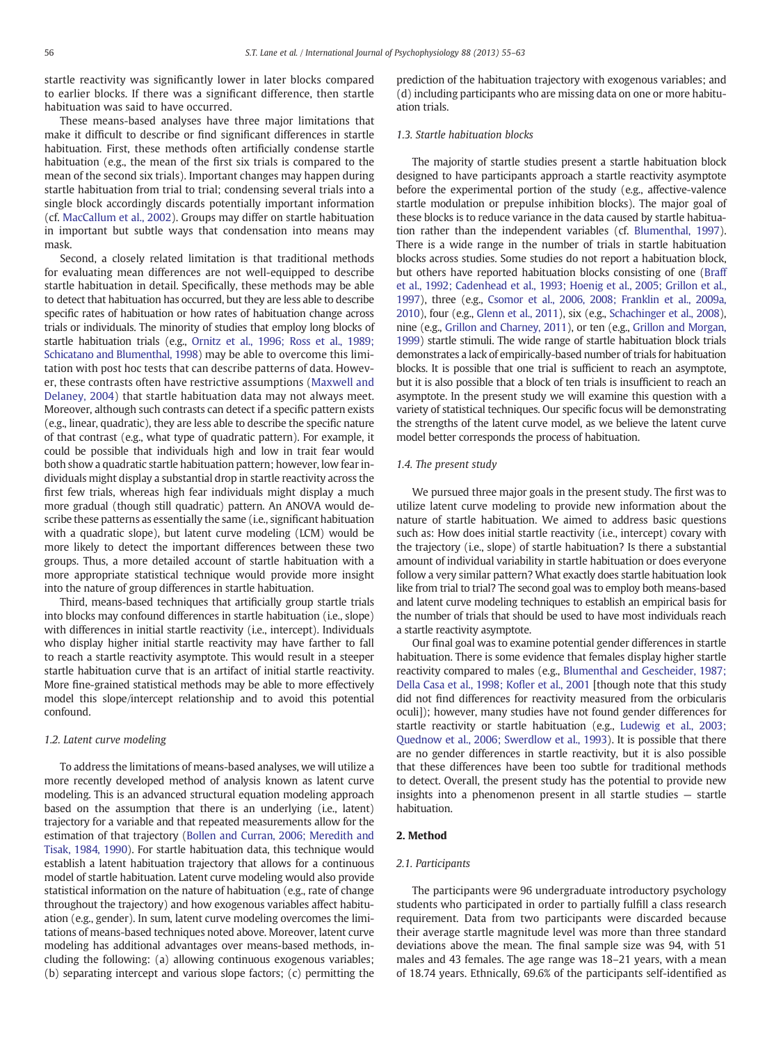startle reactivity was significantly lower in later blocks compared to earlier blocks. If there was a significant difference, then startle habituation was said to have occurred.

These means-based analyses have three major limitations that make it difficult to describe or find significant differences in startle habituation. First, these methods often artificially condense startle habituation (e.g., the mean of the first six trials is compared to the mean of the second six trials). Important changes may happen during startle habituation from trial to trial; condensing several trials into a single block accordingly discards potentially important information (cf. [MacCallum et al., 2002](#page--1-0)). Groups may differ on startle habituation in important but subtle ways that condensation into means may mask.

Second, a closely related limitation is that traditional methods for evaluating mean differences are not well-equipped to describe startle habituation in detail. Specifically, these methods may be able to detect that habituation has occurred, but they are less able to describe specific rates of habituation or how rates of habituation change across trials or individuals. The minority of studies that employ long blocks of startle habituation trials (e.g., [Ornitz et al., 1996; Ross et al., 1989;](#page--1-0) [Schicatano and Blumenthal, 1998\)](#page--1-0) may be able to overcome this limitation with post hoc tests that can describe patterns of data. However, these contrasts often have restrictive assumptions ([Maxwell and](#page--1-0) [Delaney, 2004\)](#page--1-0) that startle habituation data may not always meet. Moreover, although such contrasts can detect if a specific pattern exists (e.g., linear, quadratic), they are less able to describe the specific nature of that contrast (e.g., what type of quadratic pattern). For example, it could be possible that individuals high and low in trait fear would both show a quadratic startle habituation pattern; however, low fear individuals might display a substantial drop in startle reactivity across the first few trials, whereas high fear individuals might display a much more gradual (though still quadratic) pattern. An ANOVA would describe these patterns as essentially the same (i.e., significant habituation with a quadratic slope), but latent curve modeling (LCM) would be more likely to detect the important differences between these two groups. Thus, a more detailed account of startle habituation with a more appropriate statistical technique would provide more insight into the nature of group differences in startle habituation.

Third, means-based techniques that artificially group startle trials into blocks may confound differences in startle habituation (i.e., slope) with differences in initial startle reactivity (i.e., intercept). Individuals who display higher initial startle reactivity may have farther to fall to reach a startle reactivity asymptote. This would result in a steeper startle habituation curve that is an artifact of initial startle reactivity. More fine-grained statistical methods may be able to more effectively model this slope/intercept relationship and to avoid this potential confound.

# 1.2. Latent curve modeling

To address the limitations of means-based analyses, we will utilize a more recently developed method of analysis known as latent curve modeling. This is an advanced structural equation modeling approach based on the assumption that there is an underlying (i.e., latent) trajectory for a variable and that repeated measurements allow for the estimation of that trajectory [\(Bollen and Curran, 2006; Meredith and](#page--1-0) [Tisak, 1984, 1990\)](#page--1-0). For startle habituation data, this technique would establish a latent habituation trajectory that allows for a continuous model of startle habituation. Latent curve modeling would also provide statistical information on the nature of habituation (e.g., rate of change throughout the trajectory) and how exogenous variables affect habituation (e.g., gender). In sum, latent curve modeling overcomes the limitations of means-based techniques noted above. Moreover, latent curve modeling has additional advantages over means-based methods, including the following: (a) allowing continuous exogenous variables; (b) separating intercept and various slope factors; (c) permitting the prediction of the habituation trajectory with exogenous variables; and (d) including participants who are missing data on one or more habituation trials.

#### 1.3. Startle habituation blocks

The majority of startle studies present a startle habituation block designed to have participants approach a startle reactivity asymptote before the experimental portion of the study (e.g., affective-valence startle modulation or prepulse inhibition blocks). The major goal of these blocks is to reduce variance in the data caused by startle habituation rather than the independent variables (cf. [Blumenthal, 1997\)](#page--1-0). There is a wide range in the number of trials in startle habituation blocks across studies. Some studies do not report a habituation block, but others have reported habituation blocks consisting of one [\(Braff](#page--1-0) [et al., 1992; Cadenhead et al., 1993; Hoenig et al., 2005; Grillon et al.,](#page--1-0) [1997\)](#page--1-0), three (e.g., [Csomor et al., 2006, 2008; Franklin et al., 2009a,](#page--1-0) [2010](#page--1-0)), four (e.g., [Glenn et al., 2011](#page--1-0)), six (e.g., [Schachinger et al., 2008\)](#page--1-0), nine (e.g., [Grillon and Charney, 2011](#page--1-0)), or ten (e.g., [Grillon and Morgan,](#page--1-0) [1999](#page--1-0)) startle stimuli. The wide range of startle habituation block trials demonstrates a lack of empirically-based number of trials for habituation blocks. It is possible that one trial is sufficient to reach an asymptote, but it is also possible that a block of ten trials is insufficient to reach an asymptote. In the present study we will examine this question with a variety of statistical techniques. Our specific focus will be demonstrating the strengths of the latent curve model, as we believe the latent curve model better corresponds the process of habituation.

### 1.4. The present study

We pursued three major goals in the present study. The first was to utilize latent curve modeling to provide new information about the nature of startle habituation. We aimed to address basic questions such as: How does initial startle reactivity (i.e., intercept) covary with the trajectory (i.e., slope) of startle habituation? Is there a substantial amount of individual variability in startle habituation or does everyone follow a very similar pattern? What exactly does startle habituation look like from trial to trial? The second goal was to employ both means-based and latent curve modeling techniques to establish an empirical basis for the number of trials that should be used to have most individuals reach a startle reactivity asymptote.

Our final goal was to examine potential gender differences in startle habituation. There is some evidence that females display higher startle reactivity compared to males (e.g., [Blumenthal and Gescheider, 1987;](#page--1-0) [Della Casa et al., 1998; Ko](#page--1-0)fler et al., 2001 [though note that this study did not find differences for reactivity measured from the orbicularis oculi]); however, many studies have not found gender differences for startle reactivity or startle habituation (e.g., [Ludewig et al., 2003;](#page--1-0) [Quednow et al., 2006; Swerdlow et al., 1993\)](#page--1-0). It is possible that there are no gender differences in startle reactivity, but it is also possible that these differences have been too subtle for traditional methods to detect. Overall, the present study has the potential to provide new insights into a phenomenon present in all startle studies — startle habituation.

#### 2. Method

#### 2.1. Participants

The participants were 96 undergraduate introductory psychology students who participated in order to partially fulfill a class research requirement. Data from two participants were discarded because their average startle magnitude level was more than three standard deviations above the mean. The final sample size was 94, with 51 males and 43 females. The age range was 18–21 years, with a mean of 18.74 years. Ethnically, 69.6% of the participants self-identified as